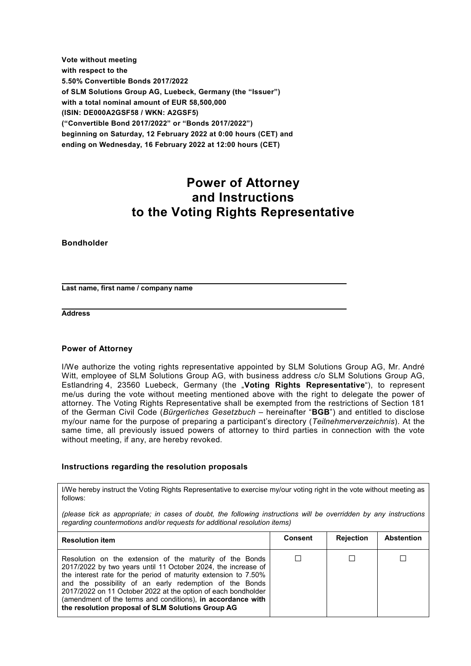**Vote without meeting with respect to the 5.50% Convertible Bonds 2017/2022 of SLM Solutions Group AG, Luebeck, Germany (the "Issuer") with a total nominal amount of EUR 58,500,000 (ISIN: DE000A2GSF58 / WKN: A2GSF5) ("Convertible Bond 2017/2022" or "Bonds 2017/2022") beginning on Saturday, 12 February 2022 at 0:00 hours (CET) and ending on Wednesday, 16 February 2022 at 12:00 hours (CET)** 

# **Power of Attorney and Instructions to the Voting Rights Representative**

**Bondholder**

**Last name, first name / company name** 

**Address** 

#### **Power of Attorney**

I/We authorize the voting rights representative appointed by SLM Solutions Group AG, Mr. André Witt, employee of SLM Solutions Group AG, with business address c/o SLM Solutions Group AG, Estlandring 4, 23560 Luebeck, Germany (the "**Voting Rights Representative**"), to represent me/us during the vote without meeting mentioned above with the right to delegate the power of attorney. The Voting Rights Representative shall be exempted from the restrictions of Section 181 of the German Civil Code (*Bürgerliches Gesetzbuch* – hereinafter "**BGB**") and entitled to disclose my/our name for the purpose of preparing a participant's directory (*Teilnehmerverzeichnis*). At the same time, all previously issued powers of attorney to third parties in connection with the vote without meeting, if any, are hereby revoked.

#### **Instructions regarding the resolution proposals**

I/We hereby instruct the Voting Rights Representative to exercise my/our voting right in the vote without meeting as follows:

*(please tick as appropriate; in cases of doubt, the following instructions will be overridden by any instructions regarding countermotions and/or requests for additional resolution items)* 

| <b>Resolution item</b>                                                                                                                                                                                                                                                                                                                                                                                                                       | <b>Consent</b> | <b>Rejection</b> | <b>Abstention</b> |
|----------------------------------------------------------------------------------------------------------------------------------------------------------------------------------------------------------------------------------------------------------------------------------------------------------------------------------------------------------------------------------------------------------------------------------------------|----------------|------------------|-------------------|
| Resolution on the extension of the maturity of the Bonds<br>2017/2022 by two years until 11 October 2024, the increase of<br>the interest rate for the period of maturity extension to 7.50%<br>and the possibility of an early redemption of the Bonds<br>2017/2022 on 11 October 2022 at the option of each bondholder<br>(amendment of the terms and conditions), in accordance with<br>the resolution proposal of SLM Solutions Group AG |                |                  |                   |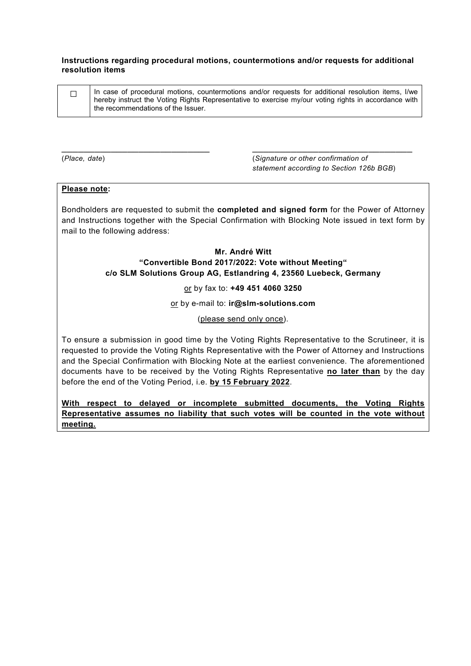#### **Instructions regarding procedural motions, countermotions and/or requests for additional resolution items**

| In case of procedural motions, countermotions and/or requests for additional resolution items, I/we<br>hereby instruct the Voting Rights Representative to exercise my/our voting rights in accordance with |
|-------------------------------------------------------------------------------------------------------------------------------------------------------------------------------------------------------------|
| the recommendations of the Issuer.                                                                                                                                                                          |

\_\_\_\_\_\_\_\_\_\_\_\_\_\_\_\_\_\_\_\_\_\_\_\_\_\_\_ \_\_\_\_\_\_\_\_\_\_\_\_\_\_\_\_\_\_\_\_\_\_\_\_\_\_\_\_\_

(*Place, date*) (*Signature or other confirmation of statement according to Section 126b BGB*)

## **Please note:**

Bondholders are requested to submit the **completed and signed form** for the Power of Attorney and Instructions together with the Special Confirmation with Blocking Note issued in text form by mail to the following address:

## **Mr. André Witt "Convertible Bond 2017/2022: Vote without Meeting" c/o SLM Solutions Group AG, Estlandring 4, 23560 Luebeck, Germany**

or by fax to: **+49 451 4060 3250** 

or by e-mail to: **ir@slm-solutions.com** 

(please send only once).

To ensure a submission in good time by the Voting Rights Representative to the Scrutineer, it is requested to provide the Voting Rights Representative with the Power of Attorney and Instructions and the Special Confirmation with Blocking Note at the earliest convenience. The aforementioned documents have to be received by the Voting Rights Representative **no later than** by the day before the end of the Voting Period, i.e. **by 15 February 2022**.

**With respect to delayed or incomplete submitted documents, the Voting Rights Representative assumes no liability that such votes will be counted in the vote without meeting.**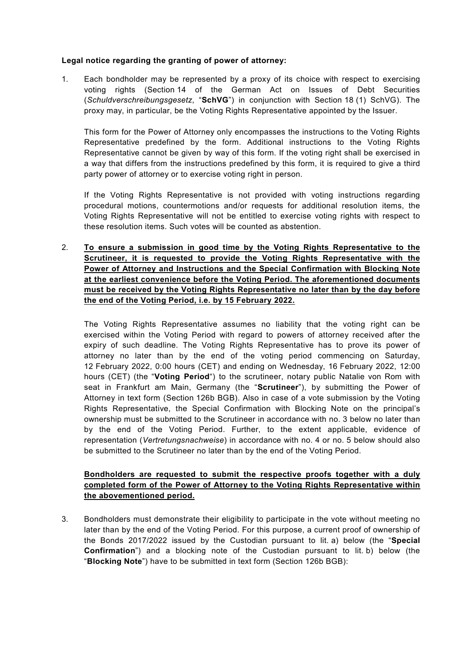## **Legal notice regarding the granting of power of attorney:**

1. Each bondholder may be represented by a proxy of its choice with respect to exercising voting rights (Section 14 of the German Act on Issues of Debt Securities (*Schuldverschreibungsgesetz*, "**SchVG**") in conjunction with Section 18 (1) SchVG). The proxy may, in particular, be the Voting Rights Representative appointed by the Issuer.

This form for the Power of Attorney only encompasses the instructions to the Voting Rights Representative predefined by the form. Additional instructions to the Voting Rights Representative cannot be given by way of this form. If the voting right shall be exercised in a way that differs from the instructions predefined by this form, it is required to give a third party power of attorney or to exercise voting right in person.

If the Voting Rights Representative is not provided with voting instructions regarding procedural motions, countermotions and/or requests for additional resolution items, the Voting Rights Representative will not be entitled to exercise voting rights with respect to these resolution items. Such votes will be counted as abstention.

2. **To ensure a submission in good time by the Voting Rights Representative to the Scrutineer, it is requested to provide the Voting Rights Representative with the Power of Attorney and Instructions and the Special Confirmation with Blocking Note at the earliest convenience before the Voting Period. The aforementioned documents must be received by the Voting Rights Representative no later than by the day before the end of the Voting Period, i.e. by 15 February 2022.** 

The Voting Rights Representative assumes no liability that the voting right can be exercised within the Voting Period with regard to powers of attorney received after the expiry of such deadline. The Voting Rights Representative has to prove its power of attorney no later than by the end of the voting period commencing on Saturday, 12 February 2022, 0:00 hours (CET) and ending on Wednesday, 16 February 2022, 12:00 hours (CET) (the "**Voting Period**") to the scrutineer, notary public Natalie von Rom with seat in Frankfurt am Main, Germany (the "**Scrutineer**"), by submitting the Power of Attorney in text form (Section 126b BGB). Also in case of a vote submission by the Voting Rights Representative, the Special Confirmation with Blocking Note on the principal's ownership must be submitted to the Scrutineer in accordance with no. 3 below no later than by the end of the Voting Period. Further, to the extent applicable, evidence of representation (*Vertretungsnachweise*) in accordance with no. 4 or no. 5 below should also be submitted to the Scrutineer no later than by the end of the Voting Period.

# **Bondholders are requested to submit the respective proofs together with a duly completed form of the Power of Attorney to the Voting Rights Representative within the abovementioned period.**

3. Bondholders must demonstrate their eligibility to participate in the vote without meeting no later than by the end of the Voting Period. For this purpose, a current proof of ownership of the Bonds 2017/2022 issued by the Custodian pursuant to lit. a) below (the "**Special Confirmation**") and a blocking note of the Custodian pursuant to lit. b) below (the "**Blocking Note**") have to be submitted in text form (Section 126b BGB):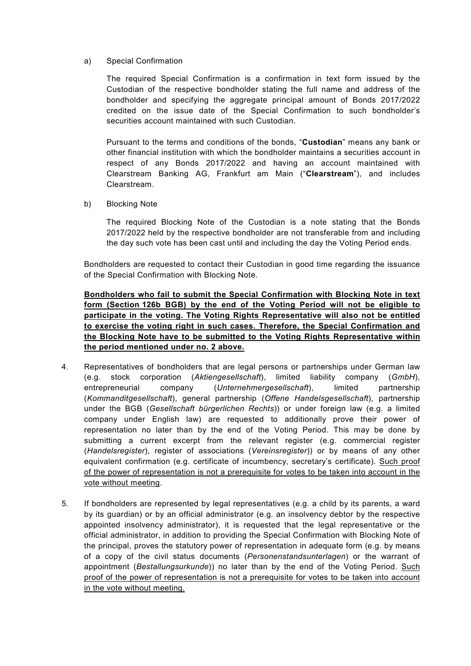## a) Special Confirmation

The required Special Confirmation is a confirmation in text form issued by the Custodian of the respective bondholder stating the full name and address of the bondholder and specifying the aggregate principal amount of Bonds 2017/2022 credited on the issue date of the Special Confirmation to such bondholder's securities account maintained with such Custodian.

Pursuant to the terms and conditions of the bonds, "**Custodian**" means any bank or other financial institution with which the bondholder maintains a securities account in respect of any Bonds 2017/2022 and having an account maintained with Clearstream Banking AG, Frankfurt am Main ("**Clearstream**"), and includes Clearstream.

b) Blocking Note

The required Blocking Note of the Custodian is a note stating that the Bonds 2017/2022 held by the respective bondholder are not transferable from and including the day such vote has been cast until and including the day the Voting Period ends.

Bondholders are requested to contact their Custodian in good time regarding the issuance of the Special Confirmation with Blocking Note.

**Bondholders who fail to submit the Special Confirmation with Blocking Note in text form (Section 126b BGB) by the end of the Voting Period will not be eligible to participate in the voting. The Voting Rights Representative will also not be entitled to exercise the voting right in such cases. Therefore, the Special Confirmation and the Blocking Note have to be submitted to the Voting Rights Representative within the period mentioned under no. 2 above.** 

- 4. Representatives of bondholders that are legal persons or partnerships under German law (e.g. stock corporation (*Aktiengesellschaft*), limited liability company (*GmbH*), entrepreneurial company (*Unternehmergesellschaft*), limited partnership (*Kommanditgesellschaft*), general partnership (*Offene Handelsgesellschaft*), partnership under the BGB (*Gesellschaft bürgerlichen Rechts*)) or under foreign law (e.g. a limited company under English law) are requested to additionally prove their power of representation no later than by the end of the Voting Period. This may be done by submitting a current excerpt from the relevant register (e.g. commercial register (*Handelsregister*), register of associations (*Vereinsregister*)) or by means of any other equivalent confirmation (e.g. certificate of incumbency, secretary's certificate). Such proof of the power of representation is not a prerequisite for votes to be taken into account in the vote without meeting.
- 5. If bondholders are represented by legal representatives (e.g. a child by its parents, a ward by its guardian) or by an official administrator (e.g. an insolvency debtor by the respective appointed insolvency administrator), it is requested that the legal representative or the official administrator, in addition to providing the Special Confirmation with Blocking Note of the principal, proves the statutory power of representation in adequate form (e.g. by means of a copy of the civil status documents (*Personenstandsunterlagen*) or the warrant of appointment (*Bestallungsurkunde*)) no later than by the end of the Voting Period. Such proof of the power of representation is not a prerequisite for votes to be taken into account in the vote without meeting.